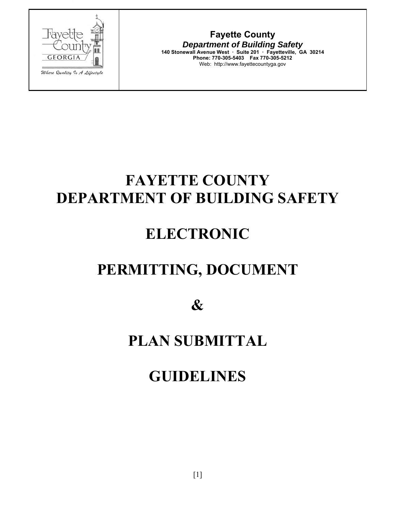

**Fayette County**  *Department of Building Safety*  **140 Stonewall Avenue West ꞏ Suite 201 ꞏ Fayetteville, GA 30214 Phone: 770-305-5403 Fax 770-305-5212**  Web: http://www.fayettecountyga.gov

# **FAYETTE COUNTY DEPARTMENT OF BUILDING SAFETY**

# **ELECTRONIC**

# **PERMITTING, DOCUMENT**

**&** 

## **PLAN SUBMITTAL**

## **GUIDELINES**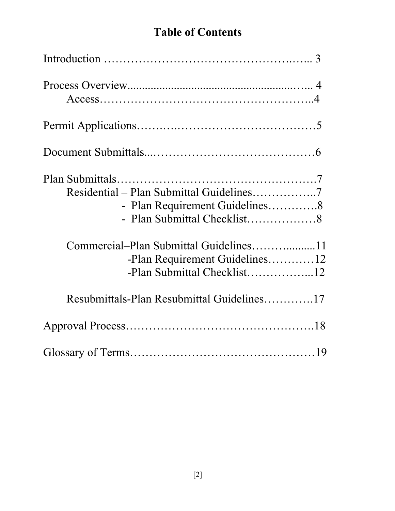## **Table of Contents**

| - Plan Requirement Guidelines8<br>-Plan Requirement Guidelines12<br>-Plan Submittal Checklist12 |
|-------------------------------------------------------------------------------------------------|
| Resubmittals-Plan Resubmittal Guidelines17                                                      |
|                                                                                                 |
|                                                                                                 |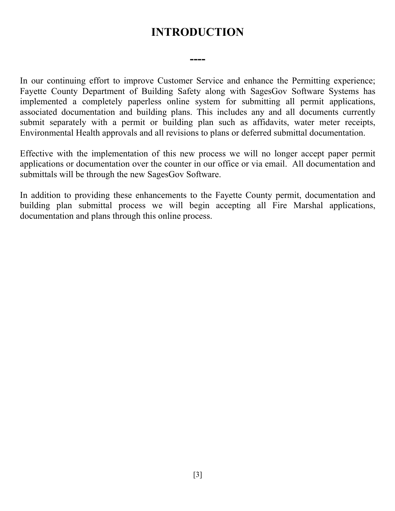## **INTRODUCTION**

**----** 

In our continuing effort to improve Customer Service and enhance the Permitting experience; Fayette County Department of Building Safety along with SagesGov Software Systems has implemented a completely paperless online system for submitting all permit applications, associated documentation and building plans. This includes any and all documents currently submit separately with a permit or building plan such as affidavits, water meter receipts, Environmental Health approvals and all revisions to plans or deferred submittal documentation.

Effective with the implementation of this new process we will no longer accept paper permit applications or documentation over the counter in our office or via email. All documentation and submittals will be through the new SagesGov Software.

In addition to providing these enhancements to the Fayette County permit, documentation and building plan submittal process we will begin accepting all Fire Marshal applications, documentation and plans through this online process.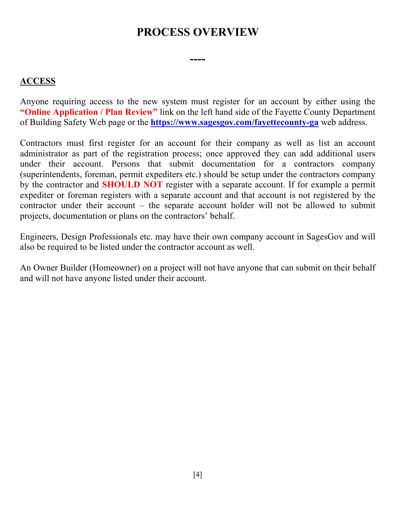### **PROCESS OVERVIEW**

**----** 

#### **ACCESS**

Anyone requiring access to the new system must register for an account by either using the **"Online Application / Plan Review"** link on the left hand side of the Fayette County Department of Building Safety Web page or the **https://www.sagesgov.com/fayettecounty-ga** web address.

Contractors must first register for an account for their company as well as list an account administrator as part of the registration process; once approved they can add additional users under their account. Persons that submit documentation for a contractors company (superintendents, foreman, permit expediters etc.) should be setup under the contractors company by the contractor and **SHOULD NOT** register with a separate account. If for example a permit expediter or foreman registers with a separate account and that account is not registered by the contractor under their account – the separate account holder will not be allowed to submit projects, documentation or plans on the contractors' behalf.

Engineers, Design Professionals etc. may have their own company account in SagesGov and will also be required to be listed under the contractor account as well.

An Owner Builder (Homeowner) on a project will not have anyone that can submit on their behalf and will not have anyone listed under their account.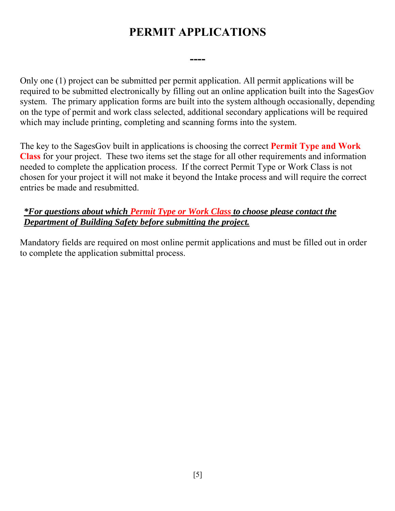## **PERMIT APPLICATIONS**

**----** 

Only one (1) project can be submitted per permit application. All permit applications will be required to be submitted electronically by filling out an online application built into the SagesGov system. The primary application forms are built into the system although occasionally, depending on the type of permit and work class selected, additional secondary applications will be required which may include printing, completing and scanning forms into the system.

The key to the SagesGov built in applications is choosing the correct **Permit Type and Work Class** for your project. These two items set the stage for all other requirements and information needed to complete the application process. If the correct Permit Type or Work Class is not chosen for your project it will not make it beyond the Intake process and will require the correct entries be made and resubmitted.

#### *\*For questions about which Permit Type or Work Class to choose please contact the Department of Building Safety before submitting the project.*

Mandatory fields are required on most online permit applications and must be filled out in order to complete the application submittal process.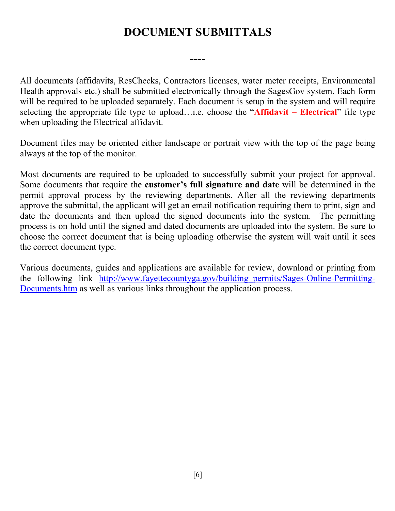## **DOCUMENT SUBMITTALS**

**----** 

All documents (affidavits, ResChecks, Contractors licenses, water meter receipts, Environmental Health approvals etc.) shall be submitted electronically through the SagesGov system. Each form will be required to be uploaded separately. Each document is setup in the system and will require selecting the appropriate file type to upload…i.e. choose the "**Affidavit – Electrical**" file type when uploading the Electrical affidavit.

Document files may be oriented either landscape or portrait view with the top of the page being always at the top of the monitor.

Most documents are required to be uploaded to successfully submit your project for approval. Some documents that require the **customer's full signature and date** will be determined in the permit approval process by the reviewing departments. After all the reviewing departments approve the submittal, the applicant will get an email notification requiring them to print, sign and date the documents and then upload the signed documents into the system. The permitting process is on hold until the signed and dated documents are uploaded into the system. Be sure to choose the correct document that is being uploading otherwise the system will wait until it sees the correct document type.

Various documents, guides and applications are available for review, download or printing from the following link http://www.fayettecountyga.gov/building permits/Sages-Online-Permitting-Documents.htm as well as various links throughout the application process.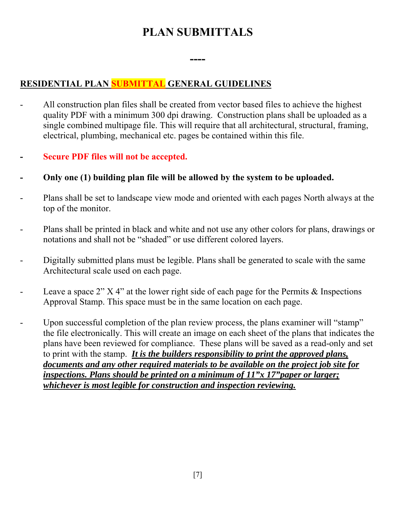## **PLAN SUBMITTALS**

**----** 

#### **RESIDENTIAL PLAN SUBMITTAL GENERAL GUIDELINES**

- All construction plan files shall be created from vector based files to achieve the highest quality PDF with a minimum 300 dpi drawing. Construction plans shall be uploaded as a single combined multipage file. This will require that all architectural, structural, framing, electrical, plumbing, mechanical etc. pages be contained within this file.
- **Secure PDF files will not be accepted.**
- **Only one (1) building plan file will be allowed by the system to be uploaded.**
- Plans shall be set to landscape view mode and oriented with each pages North always at the top of the monitor.
- Plans shall be printed in black and white and not use any other colors for plans, drawings or notations and shall not be "shaded" or use different colored layers.
- Digitally submitted plans must be legible. Plans shall be generated to scale with the same Architectural scale used on each page.
- Leave a space  $2" X 4"$  at the lower right side of each page for the Permits & Inspections Approval Stamp. This space must be in the same location on each page.
- Upon successful completion of the plan review process, the plans examiner will "stamp" the file electronically. This will create an image on each sheet of the plans that indicates the plans have been reviewed for compliance. These plans will be saved as a read-only and set to print with the stamp. *It is the builders responsibility to print the approved plans, documents and any other required materials to be available on the project job site for inspections. Plans should be printed on a minimum of 11"x 17"paper or larger; whichever is most legible for construction and inspection reviewing.*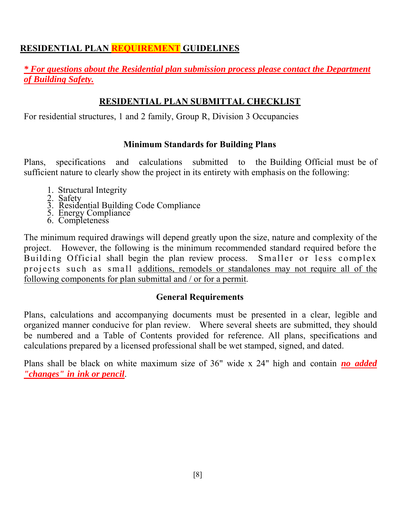#### **RESIDENTIAL PLAN REQUIREMENT GUIDELINES**

#### *\* For questions about the Residential plan submission process please contact the Department of Building Safety.*

#### **RESIDENTIAL PLAN SUBMITTAL CHECKLIST**

For residential structures, 1 and 2 family, Group R, Division 3 Occupancies

#### **Minimum Standards for Building Plans**

Plans, specifications and calculations submitted to the Building Official must be of sufficient nature to clearly show the project in its entirety with emphasis on the following:

- 1. Structural Integrity
- 2. Safety
- 3. Residential Building Code Compliance
- 5. Energy Compliance
- 6. Completeness

The minimum required drawings will depend greatly upon the size, nature and complexity of the project. However, the following is the minimum recommended standard required before the Building Official shall begin the plan review process. Smaller or less complex projects such as small additions, remodels or standalones may not require all of the following components for plan submittal and / or for a permit.

#### **General Requirements**

Plans, calculations and accompanying documents must be presented in a clear, legible and organized manner conducive for plan review. Where several sheets are submitted, they should be numbered and a Table of Contents provided for reference. All plans, specifications and calculations prepared by a licensed professional shall be wet stamped, signed, and dated.

Plans shall be black on white maximum size of 36" wide x 24" high and contain *no added "changes" in ink or pencil*.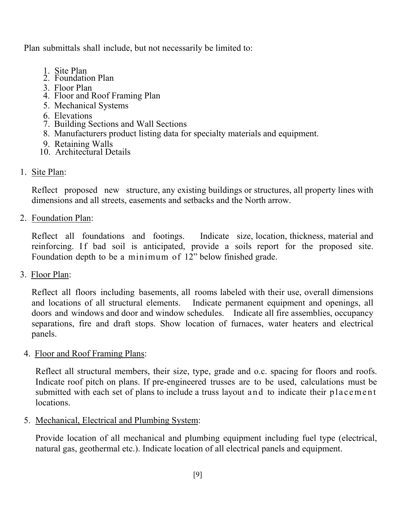Plan submittals shall include, but not necessarily be limited to:

- 1. Site Plan
	- 2. Foundation Plan
	- 3. Floor Plan
	- 4. Floor and Roof Framing Plan
	- 5. Mechanical Systems
	- 6. Elevations
	- 7. Building Sections and Wall Sections
	- 8. Manufacturers product listing data for specialty materials and equipment.
	- 9. Retaining Walls
	- 10. Architectural Details
- 1. Site Plan:

Reflect proposed new structure, any existing buildings or structures, all property lines with dimensions and all streets, easements and setbacks and the North arrow.

2. Foundation Plan:

Reflect all foundations and footings. Indicate size, location, thickness, material and reinforcing. If bad soil is anticipated, provide a soils report for the proposed site. Foundation depth to be a minimum of 12" below finished grade.

3. Floor Plan:

Reflect all floors including basements, all rooms labeled with their use, overall dimensions and locations of all structural elements. Indicate permanent equipment and openings, all doors and windows and door and window schedules. Indicate all fire assemblies, occupancy separations, fire and draft stops. Show location of furnaces, water heaters and electrical panels.

4. Floor and Roof Framing Plans:

Reflect all structural members, their size, type, grade and o.c. spacing for floors and roofs. Indicate roof pitch on plans. If pre-engineered trusses are to be used, calculations must be submitted with each set of plans to include a truss layout and to indicate their placement locations.

5. Mechanical, Electrical and Plumbing System:

Provide location of all mechanical and plumbing equipment including fuel type (electrical, natural gas, geothermal etc.). Indicate location of all electrical panels and equipment.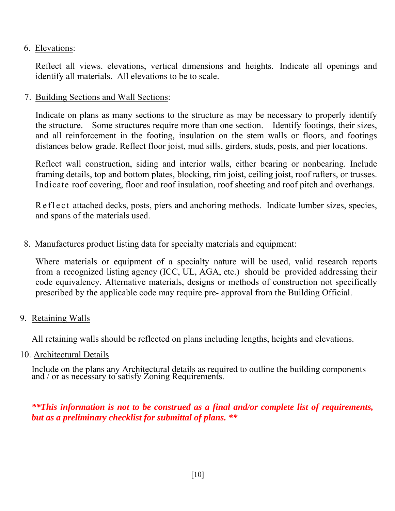#### 6. Elevations:

Reflect all views. elevations, vertical dimensions and heights. Indicate all openings and identify all materials. All elevations to be to scale.

#### 7. Building Sections and Wall Sections:

Indicate on plans as many sections to the structure as may be necessary to properly identify the structure. Some structures require more than one section. Identify footings, their sizes, and all reinforcement in the footing, insulation on the stem walls or floors, and footings distances below grade. Reflect floor joist, mud sills, girders, studs, posts, and pier locations.

Reflect wall construction, siding and interior walls, either bearing or nonbearing. Include framing details, top and bottom plates, blocking, rim joist, ceiling joist, roof rafters, or trusses. Indicate roof covering, floor and roof insulation, roof sheeting and roof pitch and overhangs.

R e f l e c t attached decks, posts, piers and anchoring methods. Indicate lumber sizes, species, and spans of the materials used.

#### 8. Manufactures product listing data for specialty materials and equipment:

Where materials or equipment of a specialty nature will be used, valid research reports from a recognized listing agency (ICC, UL, AGA, etc.) should be provided addressing their code equivalency. Alternative materials, designs or methods of construction not specifically prescribed by the applicable code may require pre- approval from the Building Official.

9. Retaining Walls

All retaining walls should be reflected on plans including lengths, heights and elevations.

10. Architectural Details

Include on the plans any Architectural details as required to outline the building components and / or as necessary to satisfy Zoning Requirements.

#### *\*\*This information is not to be construed as a final and/or complete list of requirements, but as a preliminary checklist for submittal of plans. \*\**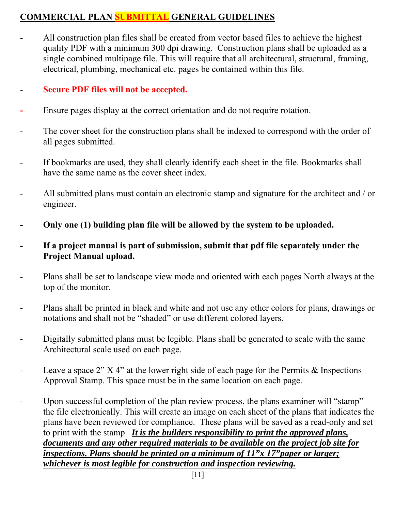### **COMMERCIAL PLAN SUBMITTAL GENERAL GUIDELINES**

All construction plan files shall be created from vector based files to achieve the highest quality PDF with a minimum 300 dpi drawing. Construction plans shall be uploaded as a single combined multipage file. This will require that all architectural, structural, framing, electrical, plumbing, mechanical etc. pages be contained within this file.

#### - **Secure PDF files will not be accepted.**

- Ensure pages display at the correct orientation and do not require rotation.
- The cover sheet for the construction plans shall be indexed to correspond with the order of all pages submitted.
- If bookmarks are used, they shall clearly identify each sheet in the file. Bookmarks shall have the same name as the cover sheet index.
- All submitted plans must contain an electronic stamp and signature for the architect and / or engineer.
- **Only one (1) building plan file will be allowed by the system to be uploaded.**
- If a project manual is part of submission, submit that pdf file separately under the **Project Manual upload.**
- Plans shall be set to landscape view mode and oriented with each pages North always at the top of the monitor.
- Plans shall be printed in black and white and not use any other colors for plans, drawings or notations and shall not be "shaded" or use different colored layers.
- Digitally submitted plans must be legible. Plans shall be generated to scale with the same Architectural scale used on each page.
- Leave a space  $2''$  X 4" at the lower right side of each page for the Permits & Inspections Approval Stamp. This space must be in the same location on each page.
- Upon successful completion of the plan review process, the plans examiner will "stamp" the file electronically. This will create an image on each sheet of the plans that indicates the plans have been reviewed for compliance. These plans will be saved as a read-only and set to print with the stamp. *It is the builders responsibility to print the approved plans, documents and any other required materials to be available on the project job site for inspections. Plans should be printed on a minimum of 11"x 17"paper or larger; whichever is most legible for construction and inspection reviewing.*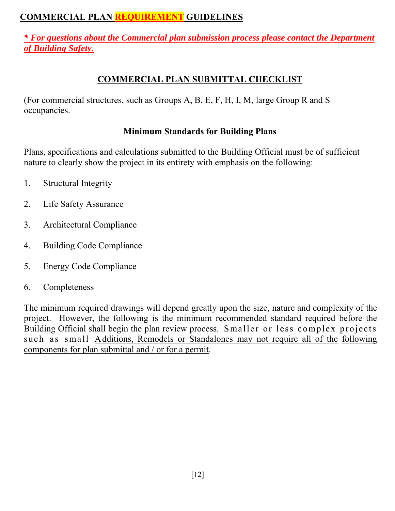#### **COMMERCIAL PLAN REQUIREMENT GUIDELINES**

*\* For questions about the Commercial plan submission process please contact the Department of Building Safety.* 

#### **COMMERCIAL PLAN SUBMITTAL CHECKLIST**

(For commercial structures, such as Groups A, B, E, F, H, I, M, large Group R and S occupancies.

#### **Minimum Standards for Building Plans**

Plans, specifications and calculations submitted to the Building Official must be of sufficient nature to clearly show the project in its entirety with emphasis on the following:

- 1. Structural Integrity
- 2. Life Safety Assurance
- 3. Architectural Compliance
- 4. Building Code Compliance
- 5. Energy Code Compliance
- 6. Completeness

The minimum required drawings will depend greatly upon the size, nature and complexity of the project. However, the following is the minimum recommended standard required before the Building Official shall begin the plan review process. Smaller or less complex projects such as small Additions, Remodels or Standalones may not require all of the following components for plan submittal and / or for a permit.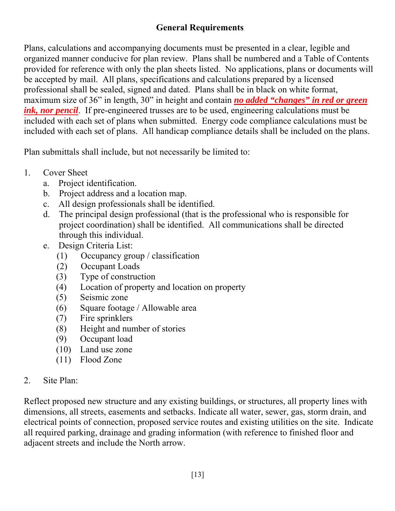#### **General Requirements**

Plans, calculations and accompanying documents must be presented in a clear, legible and organized manner conducive for plan review. Plans shall be numbered and a Table of Contents provided for reference with only the plan sheets listed. No applications, plans or documents will be accepted by mail. All plans, specifications and calculations prepared by a licensed professional shall be sealed, signed and dated. Plans shall be in black on white format, maximum size of 36" in length, 30" in height and contain *no added "changes" in red or green ink, nor pencil*. If pre-engineered trusses are to be used, engineering calculations must be included with each set of plans when submitted. Energy code compliance calculations must be included with each set of plans. All handicap compliance details shall be included on the plans.

Plan submittals shall include, but not necessarily be limited to:

- 1. Cover Sheet
	- a. Project identification.
	- b. Project address and a location map.
	- c. All design professionals shall be identified.
	- d. The principal design professional (that is the professional who is responsible for project coordination) shall be identified. All communications shall be directed through this individual.
	- e. Design Criteria List:
		- (1) Occupancy group / classification
		- (2) Occupant Loads
		- (3) Type of construction
		- (4) Location of property and location on property
		- (5) Seismic zone
		- (6) Square footage / Allowable area
		- (7) Fire sprinklers
		- (8) Height and number of stories
		- (9) Occupant load
		- (10) Land use zone
		- (11) Flood Zone

#### 2. Site Plan:

Reflect proposed new structure and any existing buildings, or structures, all property lines with dimensions, all streets, easements and setbacks. Indicate all water, sewer, gas, storm drain, and electrical points of connection, proposed service routes and existing utilities on the site. Indicate all required parking, drainage and grading information (with reference to finished floor and adjacent streets and include the North arrow.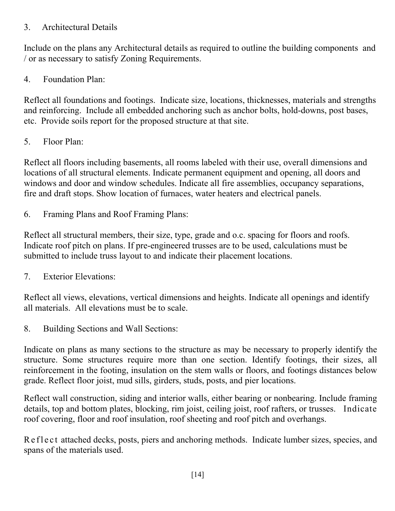#### 3. Architectural Details

Include on the plans any Architectural details as required to outline the building components and / or as necessary to satisfy Zoning Requirements.

4. Foundation Plan:

Reflect all foundations and footings. Indicate size, locations, thicknesses, materials and strengths and reinforcing. Include all embedded anchoring such as anchor bolts, hold-downs, post bases, etc. Provide soils report for the proposed structure at that site.

5. Floor Plan:

Reflect all floors including basements, all rooms labeled with their use, overall dimensions and locations of all structural elements. Indicate permanent equipment and opening, all doors and windows and door and window schedules. Indicate all fire assemblies, occupancy separations, fire and draft stops. Show location of furnaces, water heaters and electrical panels.

6. Framing Plans and Roof Framing Plans:

Reflect all structural members, their size, type, grade and o.c. spacing for floors and roofs. Indicate roof pitch on plans. If pre-engineered trusses are to be used, calculations must be submitted to include truss layout to and indicate their placement locations.

7. Exterior Elevations:

Reflect all views, elevations, vertical dimensions and heights. Indicate all openings and identify all materials. All elevations must be to scale.

8. Building Sections and Wall Sections:

Indicate on plans as many sections to the structure as may be necessary to properly identify the structure. Some structures require more than one section. Identify footings, their sizes, all reinforcement in the footing, insulation on the stem walls or floors, and footings distances below grade. Reflect floor joist, mud sills, girders, studs, posts, and pier locations.

Reflect wall construction, siding and interior walls, either bearing or nonbearing. Include framing details, top and bottom plates, blocking, rim joist, ceiling joist, roof rafters, or trusses. Indicate roof covering, floor and roof insulation, roof sheeting and roof pitch and overhangs.

R e fl e c t attached decks, posts, piers and anchoring methods. Indicate lumber sizes, species, and spans of the materials used.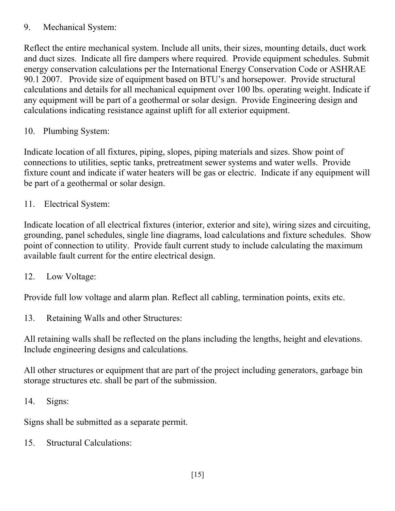#### 9. Mechanical System:

Reflect the entire mechanical system. Include all units, their sizes, mounting details, duct work and duct sizes. Indicate all fire dampers where required. Provide equipment schedules. Submit energy conservation calculations per the International Energy Conservation Code or ASHRAE 90.1 2007. Provide size of equipment based on BTU's and horsepower. Provide structural calculations and details for all mechanical equipment over 100 lbs. operating weight. Indicate if any equipment will be part of a geothermal or solar design. Provide Engineering design and calculations indicating resistance against uplift for all exterior equipment.

10. Plumbing System:

Indicate location of all fixtures, piping, slopes, piping materials and sizes. Show point of connections to utilities, septic tanks, pretreatment sewer systems and water wells. Provide fixture count and indicate if water heaters will be gas or electric. Indicate if any equipment will be part of a geothermal or solar design.

11. Electrical System:

Indicate location of all electrical fixtures (interior, exterior and site), wiring sizes and circuiting, grounding, panel schedules, single line diagrams, load calculations and fixture schedules. Show point of connection to utility. Provide fault current study to include calculating the maximum available fault current for the entire electrical design.

12. Low Voltage:

Provide full low voltage and alarm plan. Reflect all cabling, termination points, exits etc.

13. Retaining Walls and other Structures:

All retaining walls shall be reflected on the plans including the lengths, height and elevations. Include engineering designs and calculations.

All other structures or equipment that are part of the project including generators, garbage bin storage structures etc. shall be part of the submission.

14. Signs:

Signs shall be submitted as a separate permit.

15. Structural Calculations: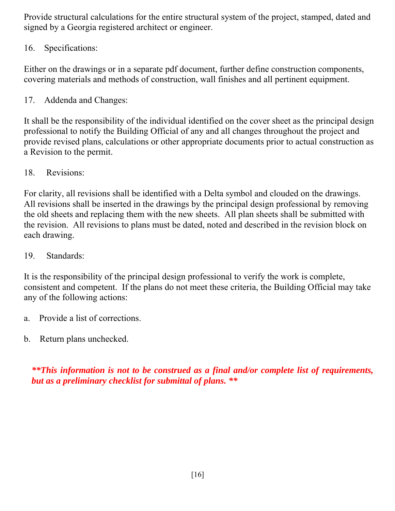Provide structural calculations for the entire structural system of the project, stamped, dated and signed by a Georgia registered architect or engineer.

#### 16. Specifications:

Either on the drawings or in a separate pdf document, further define construction components, covering materials and methods of construction, wall finishes and all pertinent equipment.

17. Addenda and Changes:

It shall be the responsibility of the individual identified on the cover sheet as the principal design professional to notify the Building Official of any and all changes throughout the project and provide revised plans, calculations or other appropriate documents prior to actual construction as a Revision to the permit.

18. Revisions:

For clarity, all revisions shall be identified with a Delta symbol and clouded on the drawings. All revisions shall be inserted in the drawings by the principal design professional by removing the old sheets and replacing them with the new sheets. All plan sheets shall be submitted with the revision. All revisions to plans must be dated, noted and described in the revision block on each drawing.

19. Standards:

It is the responsibility of the principal design professional to verify the work is complete, consistent and competent. If the plans do not meet these criteria, the Building Official may take any of the following actions:

- a. Provide a list of corrections.
- b. Return plans unchecked.

*\*\*This information is not to be construed as a final and/or complete list of requirements, but as a preliminary checklist for submittal of plans. \*\**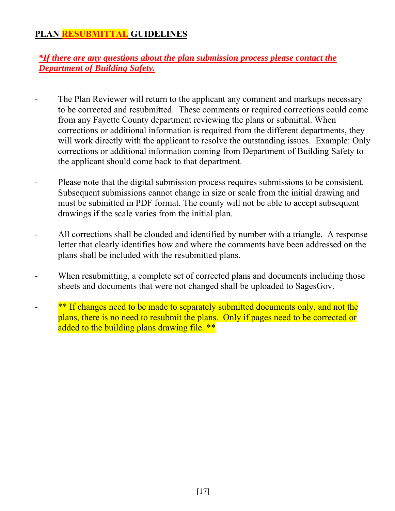#### **PLAN RESUBMITTAL GUIDELINES**

#### *\*If there are any questions about the plan submission process please contact the Department of Building Safety.*

- The Plan Reviewer will return to the applicant any comment and markups necessary to be corrected and resubmitted. These comments or required corrections could come from any Fayette County department reviewing the plans or submittal. When corrections or additional information is required from the different departments, they will work directly with the applicant to resolve the outstanding issues. Example: Only corrections or additional information coming from Department of Building Safety to the applicant should come back to that department.
- Please note that the digital submission process requires submissions to be consistent. Subsequent submissions cannot change in size or scale from the initial drawing and must be submitted in PDF format. The county will not be able to accept subsequent drawings if the scale varies from the initial plan.
- All corrections shall be clouded and identified by number with a triangle. A response letter that clearly identifies how and where the comments have been addressed on the plans shall be included with the resubmitted plans.
- When resubmitting, a complete set of corrected plans and documents including those sheets and documents that were not changed shall be uploaded to SagesGov.
- \*\* If changes need to be made to separately submitted documents only, and not the plans, there is no need to resubmit the plans. Only if pages need to be corrected or added to the building plans drawing file. \*\*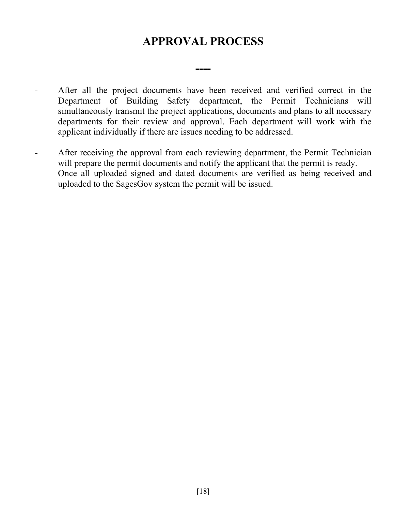### **APPROVAL PROCESS**

**----** 

- After all the project documents have been received and verified correct in the Department of Building Safety department, the Permit Technicians will simultaneously transmit the project applications, documents and plans to all necessary departments for their review and approval. Each department will work with the applicant individually if there are issues needing to be addressed.
- After receiving the approval from each reviewing department, the Permit Technician will prepare the permit documents and notify the applicant that the permit is ready. Once all uploaded signed and dated documents are verified as being received and uploaded to the SagesGov system the permit will be issued.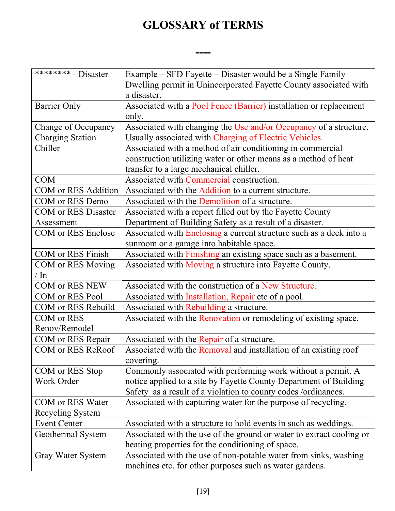## **GLOSSARY of TERMS**

**----** 

| ******** - Disaster        | Example – SFD Fayette – Disaster would be a Single Family<br>Dwelling permit in Unincorporated Fayette County associated with<br>a disaster. |
|----------------------------|----------------------------------------------------------------------------------------------------------------------------------------------|
|                            |                                                                                                                                              |
| <b>Barrier Only</b>        | Associated with a Pool Fence (Barrier) installation or replacement<br>only.                                                                  |
| Change of Occupancy        | Associated with changing the Use and/or Occupancy of a structure.                                                                            |
| <b>Charging Station</b>    | Usually associated with Charging of Electric Vehicles.                                                                                       |
| Chiller                    | Associated with a method of air conditioning in commercial                                                                                   |
|                            | construction utilizing water or other means as a method of heat                                                                              |
|                            | transfer to a large mechanical chiller.                                                                                                      |
| <b>COM</b>                 | Associated with Commercial construction.                                                                                                     |
| <b>COM</b> or RES Addition | Associated with the Addition to a current structure.                                                                                         |
| COM or RES Demo            | Associated with the Demolition of a structure.                                                                                               |
| <b>COM</b> or RES Disaster | Associated with a report filled out by the Fayette County                                                                                    |
| Assessment                 | Department of Building Safety as a result of a disaster.                                                                                     |
| <b>COM</b> or RES Enclose  | Associated with Enclosing a current structure such as a deck into a                                                                          |
|                            | sunroom or a garage into habitable space.                                                                                                    |
| <b>COM</b> or RES Finish   | Associated with Finishing an existing space such as a basement.                                                                              |
| COM or RES Moving          | Associated with Moving a structure into Fayette County.                                                                                      |
| $\ln$                      |                                                                                                                                              |
| COM or RES NEW             | Associated with the construction of a New Structure.                                                                                         |
| COM or RES Pool            | Associated with Installation, Repair etc of a pool.                                                                                          |
| COM or RES Rebuild         | Associated with Rebuilding a structure.                                                                                                      |
| <b>COM</b> or RES          | Associated with the Renovation or remodeling of existing space.                                                                              |
| Renov/Remodel              |                                                                                                                                              |
| COM or RES Repair          | Associated with the Repair of a structure.                                                                                                   |
| COM or RES ReRoof          | Associated with the Removal and installation of an existing roof                                                                             |
|                            | covering.                                                                                                                                    |
| COM or RES Stop            | Commonly associated with performing work without a permit. A                                                                                 |
| Work Order                 | notice applied to a site by Fayette County Department of Building                                                                            |
|                            | Safety as a result of a violation to county codes /ordinances.                                                                               |
| COM or RES Water           | Associated with capturing water for the purpose of recycling.                                                                                |
| Recycling System           |                                                                                                                                              |
| <b>Event Center</b>        | Associated with a structure to hold events in such as weddings.                                                                              |
| Geothermal System          | Associated with the use of the ground or water to extract cooling or                                                                         |
|                            | heating properties for the conditioning of space.                                                                                            |
| Gray Water System          | Associated with the use of non-potable water from sinks, washing                                                                             |
|                            | machines etc. for other purposes such as water gardens.                                                                                      |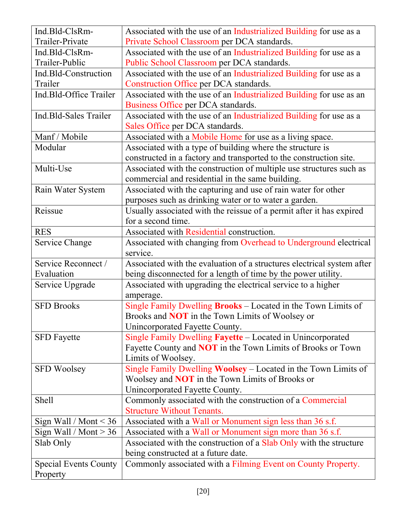| Ind.Bld-ClsRm-<br>Trailer-Private<br>Ind.Bld-ClsRm-<br>Trailer-Public | Associated with the use of an Industrialized Building for use as a<br>Private School Classroom per DCA standards.<br>Associated with the use of an Industrialized Building for use as a                                                                                                                                                                                                  |
|-----------------------------------------------------------------------|------------------------------------------------------------------------------------------------------------------------------------------------------------------------------------------------------------------------------------------------------------------------------------------------------------------------------------------------------------------------------------------|
|                                                                       |                                                                                                                                                                                                                                                                                                                                                                                          |
|                                                                       |                                                                                                                                                                                                                                                                                                                                                                                          |
|                                                                       |                                                                                                                                                                                                                                                                                                                                                                                          |
|                                                                       | Public School Classroom per DCA standards.                                                                                                                                                                                                                                                                                                                                               |
| Ind.Bld-Construction                                                  | Associated with the use of an Industrialized Building for use as a                                                                                                                                                                                                                                                                                                                       |
| Trailer                                                               | Construction Office per DCA standards.                                                                                                                                                                                                                                                                                                                                                   |
| Ind.Bld-Office Trailer                                                | Associated with the use of an Industrialized Building for use as an                                                                                                                                                                                                                                                                                                                      |
|                                                                       | Business Office per DCA standards.                                                                                                                                                                                                                                                                                                                                                       |
| Ind.Bld-Sales Trailer                                                 | Associated with the use of an Industrialized Building for use as a                                                                                                                                                                                                                                                                                                                       |
|                                                                       | Sales Office per DCA standards.                                                                                                                                                                                                                                                                                                                                                          |
| Manf / Mobile                                                         | Associated with a Mobile Home for use as a living space.                                                                                                                                                                                                                                                                                                                                 |
| Modular                                                               | Associated with a type of building where the structure is                                                                                                                                                                                                                                                                                                                                |
|                                                                       | constructed in a factory and transported to the construction site.                                                                                                                                                                                                                                                                                                                       |
| Multi-Use                                                             | Associated with the construction of multiple use structures such as                                                                                                                                                                                                                                                                                                                      |
|                                                                       | commercial and residential in the same building.                                                                                                                                                                                                                                                                                                                                         |
| Rain Water System                                                     | Associated with the capturing and use of rain water for other                                                                                                                                                                                                                                                                                                                            |
|                                                                       | purposes such as drinking water or to water a garden.                                                                                                                                                                                                                                                                                                                                    |
| Reissue                                                               | Usually associated with the reissue of a permit after it has expired                                                                                                                                                                                                                                                                                                                     |
|                                                                       | for a second time.                                                                                                                                                                                                                                                                                                                                                                       |
| <b>RES</b>                                                            | Associated with Residential construction.                                                                                                                                                                                                                                                                                                                                                |
| Service Change                                                        | Associated with changing from Overhead to Underground electrical                                                                                                                                                                                                                                                                                                                         |
|                                                                       | service.                                                                                                                                                                                                                                                                                                                                                                                 |
| Service Reconnect /                                                   |                                                                                                                                                                                                                                                                                                                                                                                          |
| Evaluation                                                            |                                                                                                                                                                                                                                                                                                                                                                                          |
|                                                                       |                                                                                                                                                                                                                                                                                                                                                                                          |
|                                                                       |                                                                                                                                                                                                                                                                                                                                                                                          |
| <b>SFD Brooks</b>                                                     |                                                                                                                                                                                                                                                                                                                                                                                          |
|                                                                       |                                                                                                                                                                                                                                                                                                                                                                                          |
|                                                                       |                                                                                                                                                                                                                                                                                                                                                                                          |
| <b>SFD</b> Fayette                                                    | Single Family Dwelling Fayette - Located in Unincorporated                                                                                                                                                                                                                                                                                                                               |
|                                                                       | Fayette County and <b>NOT</b> in the Town Limits of Brooks or Town                                                                                                                                                                                                                                                                                                                       |
|                                                                       | Limits of Woolsey.                                                                                                                                                                                                                                                                                                                                                                       |
| <b>SFD Woolsey</b>                                                    | Single Family Dwelling Woolsey – Located in the Town Limits of                                                                                                                                                                                                                                                                                                                           |
|                                                                       | Woolsey and <b>NOT</b> in the Town Limits of Brooks or                                                                                                                                                                                                                                                                                                                                   |
|                                                                       | Unincorporated Fayette County.                                                                                                                                                                                                                                                                                                                                                           |
| Shell                                                                 | Commonly associated with the construction of a Commercial                                                                                                                                                                                                                                                                                                                                |
|                                                                       | <b>Structure Without Tenants.</b>                                                                                                                                                                                                                                                                                                                                                        |
| Sign Wall / Mont $<$ 36                                               | Associated with a Wall or Monument sign less than 36 s.f.                                                                                                                                                                                                                                                                                                                                |
| Sign Wall / Mont $> 36$                                               | Associated with a Wall or Monument sign more than 36 s.f.                                                                                                                                                                                                                                                                                                                                |
|                                                                       |                                                                                                                                                                                                                                                                                                                                                                                          |
|                                                                       |                                                                                                                                                                                                                                                                                                                                                                                          |
| Slab Only                                                             | Associated with the construction of a Slab Only with the structure                                                                                                                                                                                                                                                                                                                       |
| <b>Special Events County</b>                                          | being constructed at a future date.<br>Commonly associated with a Filming Event on County Property.                                                                                                                                                                                                                                                                                      |
| Service Upgrade                                                       | Associated with the evaluation of a structures electrical system after<br>being disconnected for a length of time by the power utility.<br>Associated with upgrading the electrical service to a higher<br>amperage.<br>Single Family Dwelling <b>Brooks</b> – Located in the Town Limits of<br>Brooks and <b>NOT</b> in the Town Limits of Woolsey or<br>Unincorporated Fayette County. |